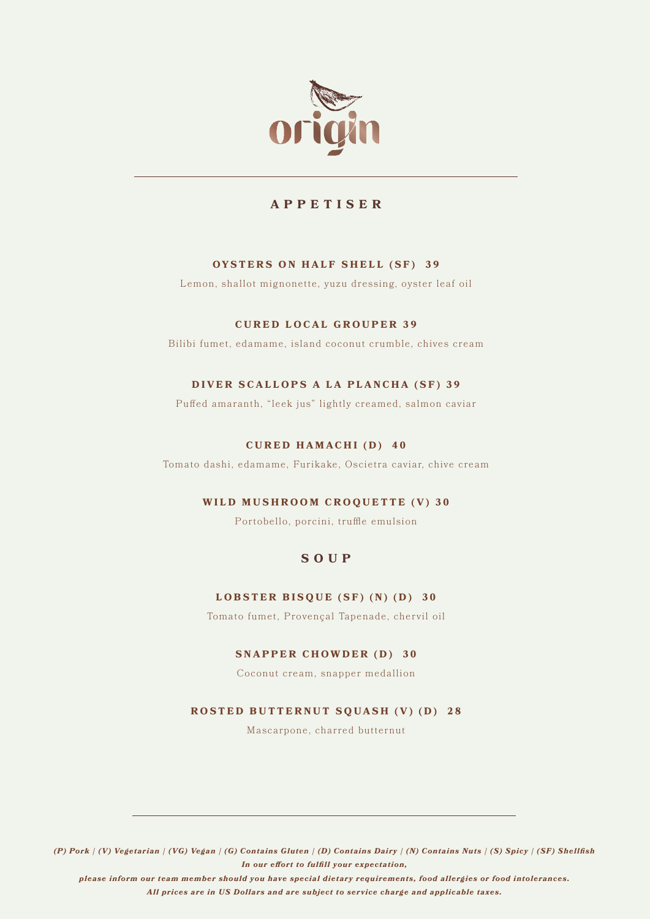

# **APPETISER**

# **OYSTERS ON HALF SHELL (SF) 39**

Lemon, shallot mignonette, yuzu dressing, oyster leaf oil

# **CURED LOCAL GROUPER 39**

Bilibi fumet, edamame, island coconut crumble, chives cream

# **DIVER SCALLOPS A LA PLANCHA (SF) 39**

Puffed amaranth, "leek jus" lightly creamed, salmon caviar

### **CURED HAMACHI (D) 40**

Tomato dashi, edamame, Furikake, Oscietra caviar, chive cream

# **WILD MUSHROOM CROQUETTE (V) 30**

Portobello, porcini, truffle emulsion

# **SOUP**

### **LOBSTER BISQUE (SF) (N) (D) 30**

Tomato fumet, Provençal Tapenade, chervil oil

# **SNAPPER CHOWDER (D) 30**

Coconut cream, snapper medallion

### **ROSTED BUTTERNUT SQUASH (V) (D) 28**

Mascarpone, charred butternut

*(P) Pork | (V) Vegetarian | (VG) Vegan | (G) Contains Gluten | (D) Contains Dairy | (N) Contains Nuts | (S) Spicy | (SF) Shellfish In our effort to fulfill your expectation,* 

*please inform our team member should you have special dietary requirements, food allergies or food intolerances. All prices are in US Dollars and are subject to service charge and applicable taxes.*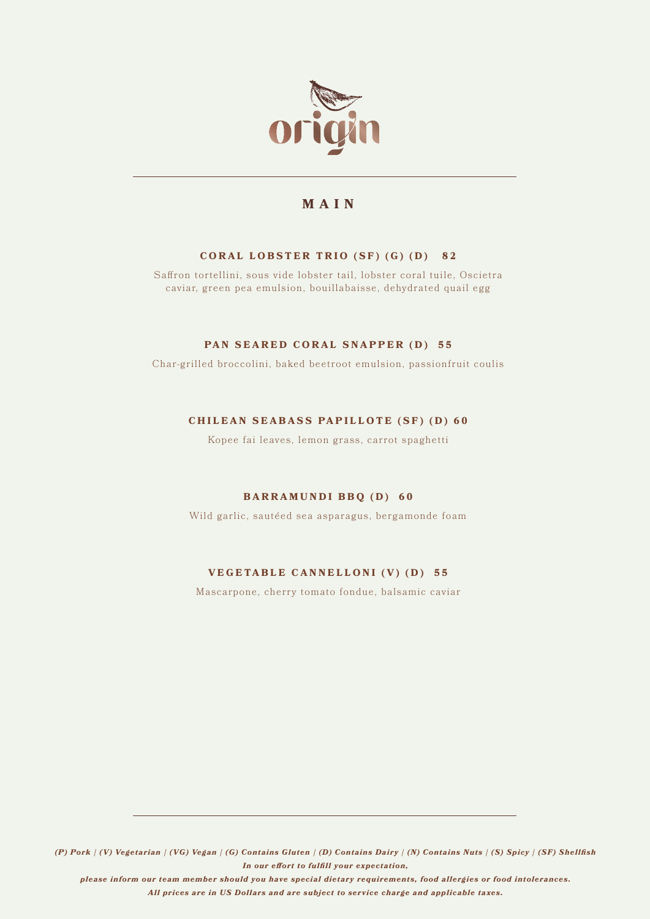

# **MAIN**

# **CORAL LOBSTER TRIO (SF) (G) (D) 82**

Saffron tortellini, sous vide lobster tail, lobster coral tuile, Oscietra caviar, green pea emulsion, bouillabaisse, dehydrated quail egg

### **PAN SEARED CORAL SNAPPER (D) 55**

Char-grilled broccolini, baked beetroot emulsion, passionfruit coulis

# **CHILEAN SEABASS PAPILLOTE (SF) (D) 60**

Kopee fai leaves, lemon grass, carrot spaghetti

# **BARRAMUNDI BBQ (D) 60**

Wild garlic, sautéed sea asparagus, bergamonde foam

# **VEGETABLE CANNELLONI (V) (D) 55**

Mascarpone, cherry tomato fondue, balsamic caviar

*(P) Pork | (V) Vegetarian | (VG) Vegan | (G) Contains Gluten | (D) Contains Dairy | (N) Contains Nuts | (S) Spicy | (SF) Shellfish In our effort to fulfill your expectation,* 

*please inform our team member should you have special dietary requirements, food allergies or food intolerances. All prices are in US Dollars and are subject to service charge and applicable taxes.*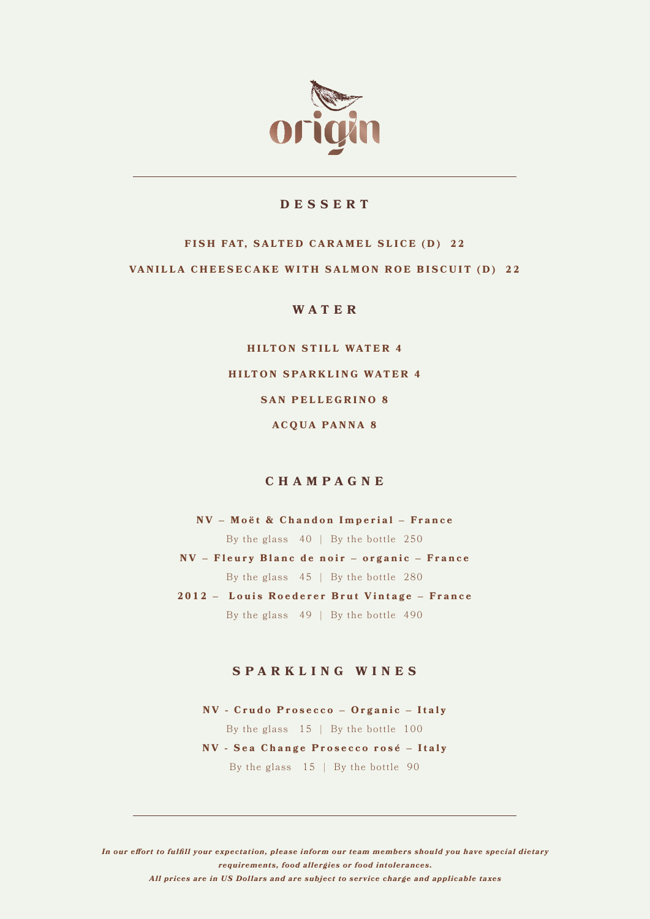

# **DESSERT**

# FISH FAT, SALTED CARAMEL SLICE (D) 22 **VANILLA CHEESECAKE WITH SALMON ROE BISCUIT (D) 22**

**WATER**

**HILTON STILL WATER 4 HILTON SPARKLING WATER 4 SAN PELLEGRINO 8 ACQUA PANNA 8**

# **CHAMPAGNE**

**NV – Moët & Chandon Imperial – France**  By the glass  $40$  | By the bottle 250 **NV – Fleury Blanc de noir – organic – France** By the glass 45 | By the bottle 280 **2012 – Louis Roederer Brut Vintage – France** By the glass  $49$  | By the bottle  $490$ 

#### **SPARKLING WINES**

**NV - Crudo Prosecco – Organic – Italy** By the glass  $15$  | By the bottle  $100$ **NV - Sea Change Prosecco rosé – Italy** By the glass 15 | By the bottle 90

*In our effort to fulfill your expectation, please inform our team members should you have special dietary requirements, food allergies or food intolerances. All prices are in US Dollars and are subject to service charge and applicable taxes*